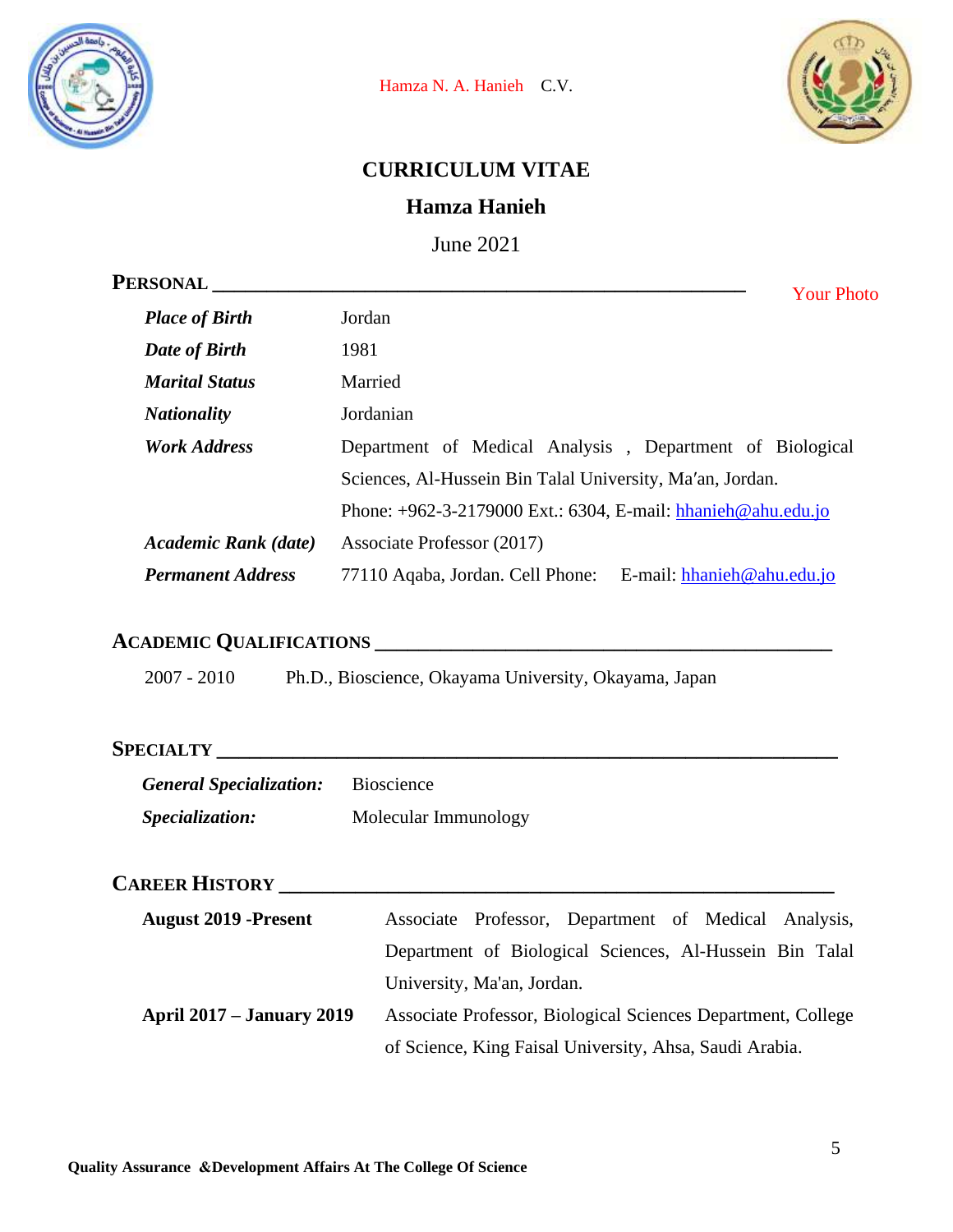



## **CURRICULUM VITAE**

## **Hamza Hanieh**

June 2021

| PERSONAL <sub>.</sub>       | <b>Your Photo</b>                                                |
|-----------------------------|------------------------------------------------------------------|
| <b>Place of Birth</b>       | Jordan                                                           |
| Date of Birth               | 1981                                                             |
| <b>Marital Status</b>       | Married                                                          |
| <b>Nationality</b>          | Jordanian                                                        |
| <b>Work Address</b>         | Department of Medical Analysis, Department of Biological         |
|                             | Sciences, Al-Hussein Bin Talal University, Ma'an, Jordan.        |
|                             | Phone: $+962-3-2179000$ Ext.: 6304, E-mail: hhanieh@ahu.edu.jo   |
| <b>Academic Rank</b> (date) | Associate Professor (2017)                                       |
| <b>Permanent Address</b>    | 77110 Aqaba, Jordan. Cell Phone:<br>E-mail: $hhanieh@ahu.edu.io$ |

# **ACADEMIC QUALIFICATIONS \_\_\_\_\_\_\_\_\_\_\_\_\_\_\_\_\_\_\_\_\_\_\_\_\_\_\_\_\_\_\_\_\_\_\_\_\_\_\_\_\_\_**

2007 - 2010 Ph.D., Bioscience, Okayama University, Okayama, Japan

## **SPECIALTY \_\_\_\_\_\_\_\_\_\_\_\_\_\_\_\_\_\_\_\_\_\_\_\_\_\_\_\_\_\_\_\_\_\_\_\_\_\_\_\_\_\_\_\_\_\_\_\_\_\_\_\_\_\_\_\_\_**

| <b>General Specialization:</b> | <b>Bioscience</b>    |
|--------------------------------|----------------------|
| <i>Specialization:</i>         | Molecular Immunology |

### **CAREER HISTORY \_\_\_\_\_\_\_\_\_\_\_\_\_\_\_\_\_\_\_\_\_\_\_\_\_\_\_\_\_\_\_\_\_\_\_\_\_\_\_\_\_\_\_\_\_\_\_\_\_\_\_**

| <b>August 2019 -Present</b>      | Associate Professor, Department of Medical Analysis,         |
|----------------------------------|--------------------------------------------------------------|
|                                  | Department of Biological Sciences, Al-Hussein Bin Talal      |
|                                  | University, Ma'an, Jordan.                                   |
| <b>April 2017 – January 2019</b> | Associate Professor, Biological Sciences Department, College |
|                                  | of Science, King Faisal University, Ahsa, Saudi Arabia.      |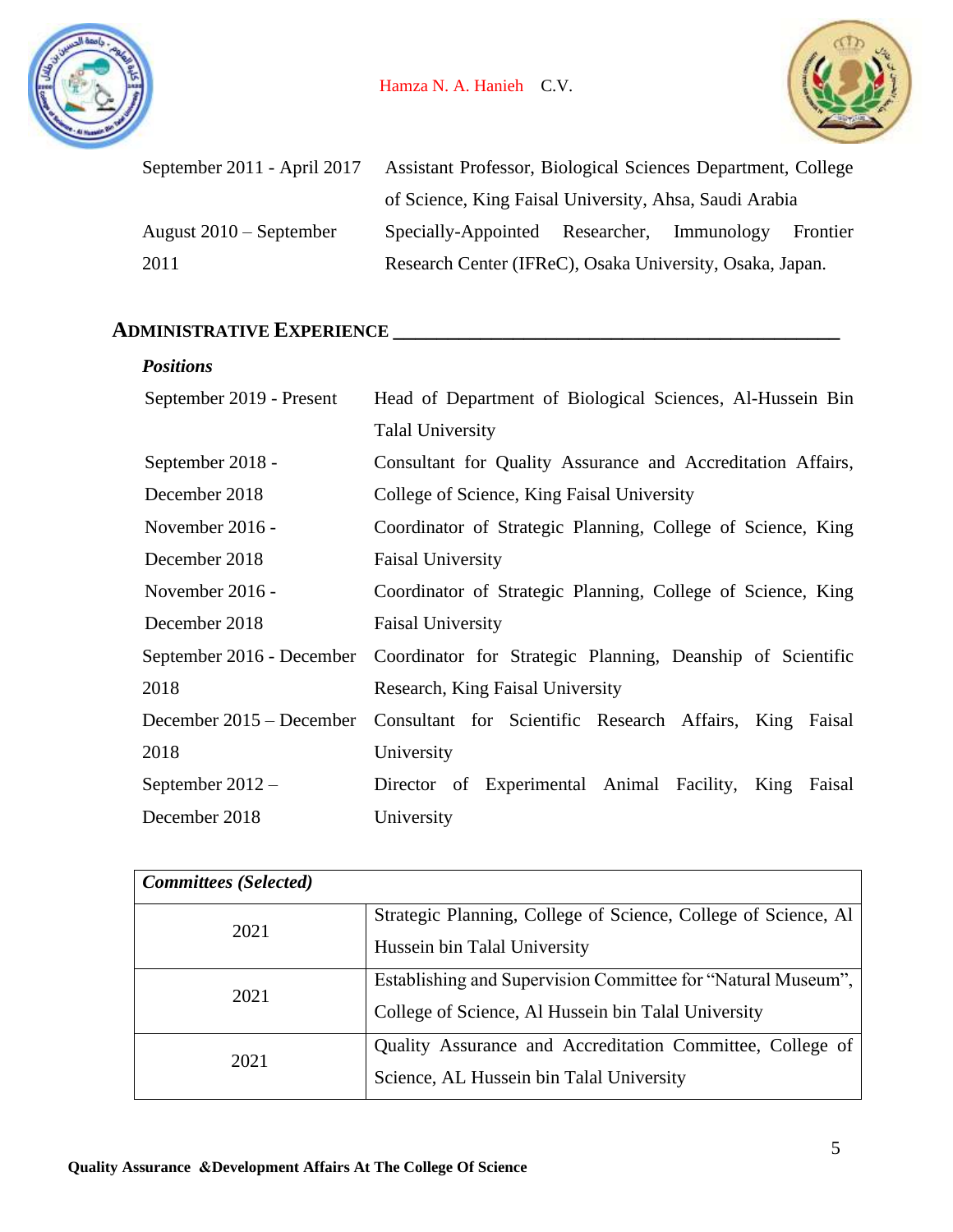



| September 2011 - April 2017 | Assistant Professor, Biological Sciences Department, College |  |  |          |
|-----------------------------|--------------------------------------------------------------|--|--|----------|
|                             | of Science, King Faisal University, Ahsa, Saudi Arabia       |  |  |          |
| August $2010$ – September   | Specially-Appointed Researcher, Immunology                   |  |  | Frontier |
| 2011                        | Research Center (IFReC), Osaka University, Osaka, Japan.     |  |  |          |

## **ADMINISTRATIVE EXPERIENCE \_\_\_\_\_\_\_\_\_\_\_\_\_\_\_\_\_\_\_\_\_\_\_\_\_\_\_\_\_\_\_\_\_\_\_\_\_\_\_\_\_**

| <b>Positions</b>           |                                                             |
|----------------------------|-------------------------------------------------------------|
| September 2019 - Present   | Head of Department of Biological Sciences, Al-Hussein Bin   |
|                            | <b>Talal University</b>                                     |
| September 2018 -           | Consultant for Quality Assurance and Accreditation Affairs, |
| December 2018              | College of Science, King Faisal University                  |
| November 2016 -            | Coordinator of Strategic Planning, College of Science, King |
| December 2018              | <b>Faisal University</b>                                    |
| November 2016 -            | Coordinator of Strategic Planning, College of Science, King |
| December 2018              | <b>Faisal University</b>                                    |
| September 2016 - December  | Coordinator for Strategic Planning, Deanship of Scientific  |
| 2018                       | Research, King Faisal University                            |
| December $2015 -$ December | Consultant for Scientific Research Affairs, King Faisal     |
| 2018                       | University                                                  |
| September $2012 -$         | Director of Experimental Animal Facility, King<br>Faisal    |
| December 2018              | University                                                  |

| <b>Committees</b> (Selected) |                                                                |
|------------------------------|----------------------------------------------------------------|
| 2021                         | Strategic Planning, College of Science, College of Science, Al |
|                              | Hussein bin Talal University                                   |
| 2021                         | Establishing and Supervision Committee for "Natural Museum",   |
|                              | College of Science, Al Hussein bin Talal University            |
| 2021                         | Quality Assurance and Accreditation Committee, College of      |
|                              | Science, AL Hussein bin Talal University                       |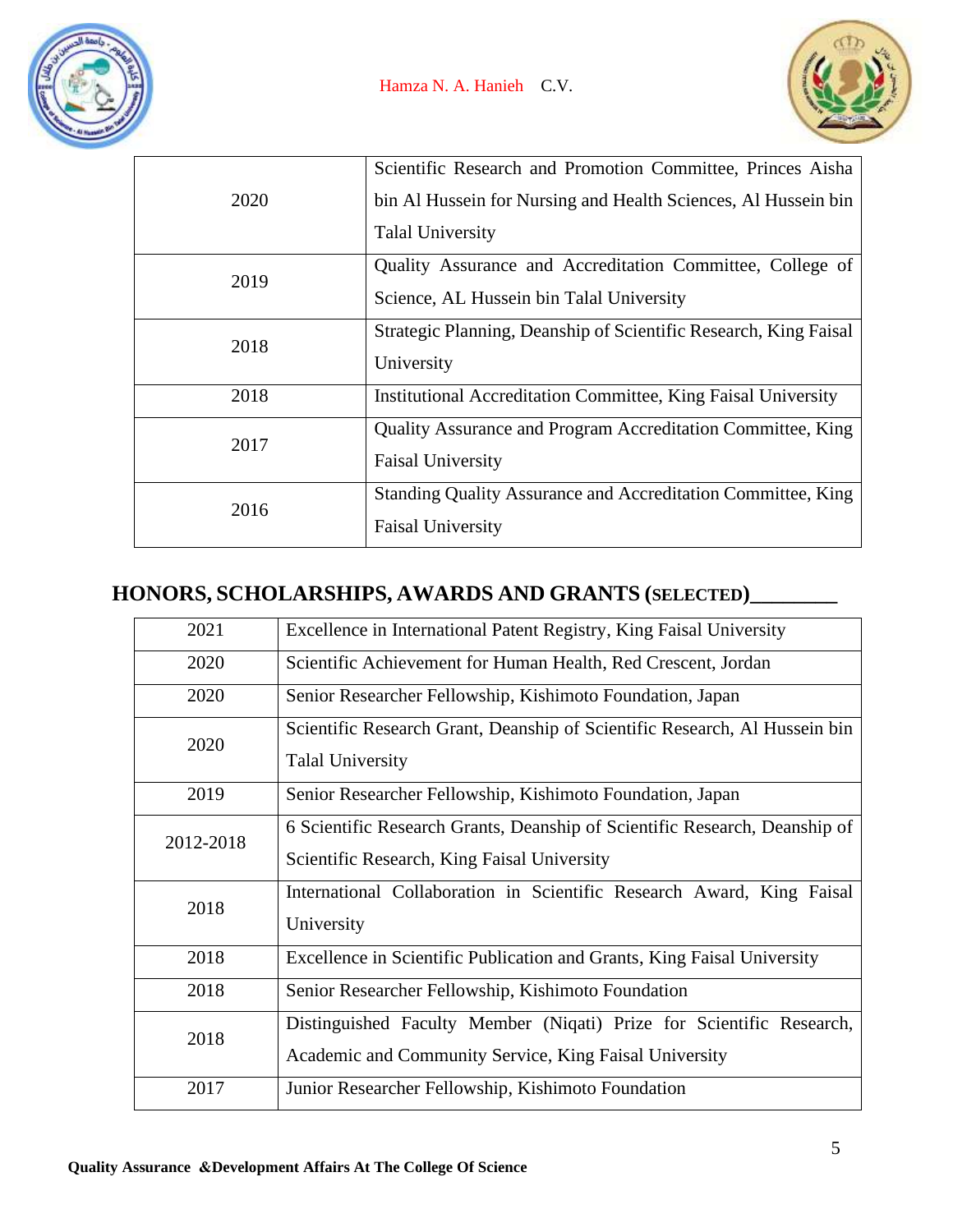

|      | Scientific Research and Promotion Committee, Princes Aisha           |
|------|----------------------------------------------------------------------|
| 2020 | bin Al Hussein for Nursing and Health Sciences, Al Hussein bin       |
|      | <b>Talal University</b>                                              |
| 2019 | Quality Assurance and Accreditation Committee, College of            |
|      | Science, AL Hussein bin Talal University                             |
| 2018 | Strategic Planning, Deanship of Scientific Research, King Faisal     |
|      | University                                                           |
| 2018 | <b>Institutional Accreditation Committee, King Faisal University</b> |
| 2017 | <b>Quality Assurance and Program Accreditation Committee, King</b>   |
|      | <b>Faisal University</b>                                             |
| 2016 | Standing Quality Assurance and Accreditation Committee, King         |
|      | <b>Faisal University</b>                                             |

## **HONORS, SCHOLARSHIPS, AWARDS AND GRANTS (SELECTED)\_\_\_\_\_\_\_\_**

| 2021      | Excellence in International Patent Registry, King Faisal University                                                            |
|-----------|--------------------------------------------------------------------------------------------------------------------------------|
| 2020      | Scientific Achievement for Human Health, Red Crescent, Jordan                                                                  |
| 2020      | Senior Researcher Fellowship, Kishimoto Foundation, Japan                                                                      |
| 2020      | Scientific Research Grant, Deanship of Scientific Research, Al Hussein bin<br><b>Talal University</b>                          |
| 2019      | Senior Researcher Fellowship, Kishimoto Foundation, Japan                                                                      |
| 2012-2018 | 6 Scientific Research Grants, Deanship of Scientific Research, Deanship of<br>Scientific Research, King Faisal University      |
| 2018      | International Collaboration in Scientific Research Award, King Faisal<br>University                                            |
| 2018      | Excellence in Scientific Publication and Grants, King Faisal University                                                        |
| 2018      | Senior Researcher Fellowship, Kishimoto Foundation                                                                             |
| 2018      | Distinguished Faculty Member (Niqati) Prize for Scientific Research,<br>Academic and Community Service, King Faisal University |
| 2017      | Junior Researcher Fellowship, Kishimoto Foundation                                                                             |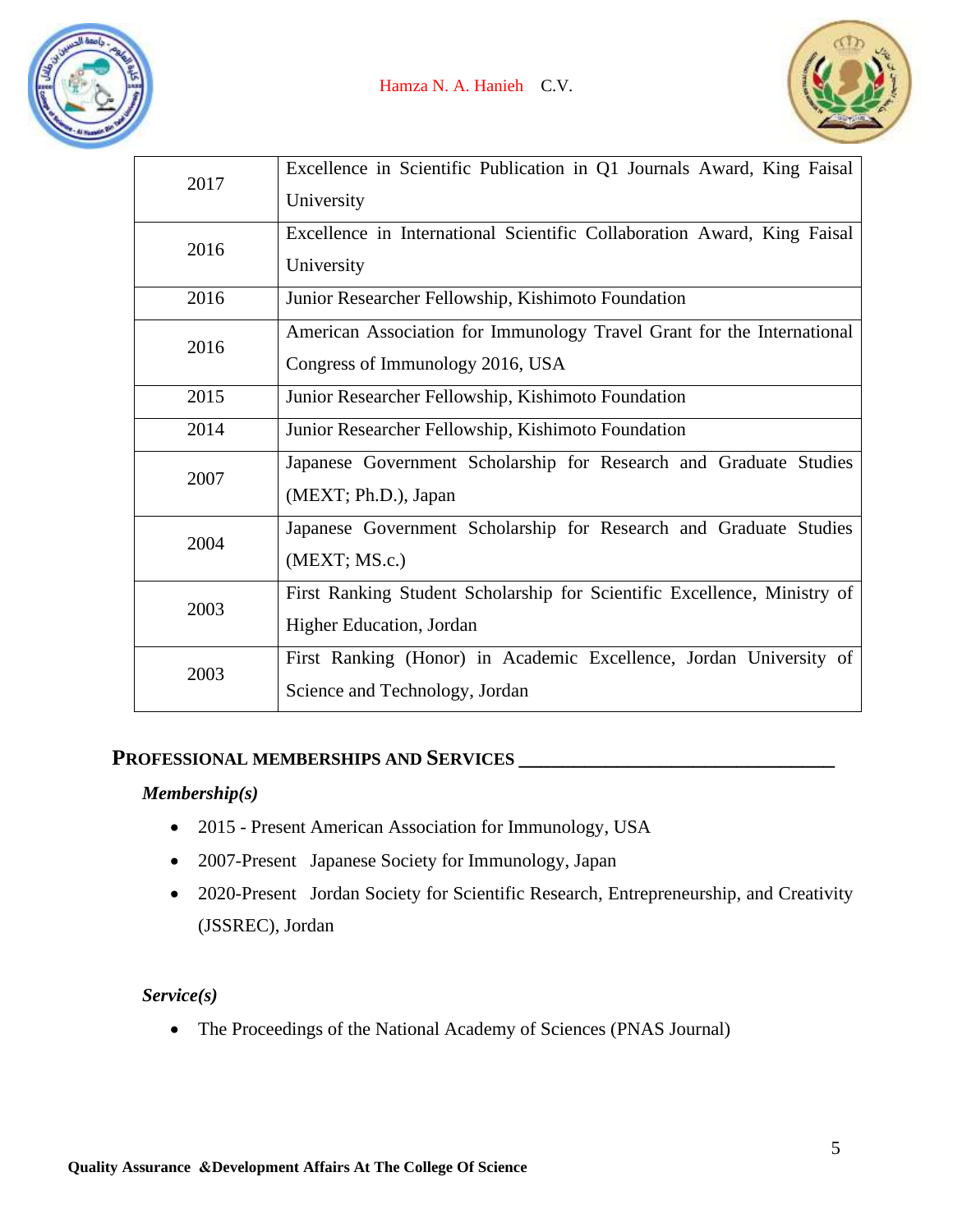



| 2017 | Excellence in Scientific Publication in Q1 Journals Award, King Faisal<br>University                       |
|------|------------------------------------------------------------------------------------------------------------|
| 2016 | Excellence in International Scientific Collaboration Award, King Faisal<br>University                      |
| 2016 | Junior Researcher Fellowship, Kishimoto Foundation                                                         |
| 2016 | American Association for Immunology Travel Grant for the International<br>Congress of Immunology 2016, USA |
| 2015 | Junior Researcher Fellowship, Kishimoto Foundation                                                         |
| 2014 | Junior Researcher Fellowship, Kishimoto Foundation                                                         |
| 2007 | Japanese Government Scholarship for Research and Graduate Studies<br>(MEXT; Ph.D.), Japan                  |
| 2004 | Japanese Government Scholarship for Research and Graduate Studies<br>(MEXT; MS.c.)                         |
| 2003 | First Ranking Student Scholarship for Scientific Excellence, Ministry of<br>Higher Education, Jordan       |
| 2003 | First Ranking (Honor) in Academic Excellence, Jordan University of<br>Science and Technology, Jordan       |

## **PROFESSIONAL MEMBERSHIPS AND SERVICES \_\_\_\_\_\_\_\_\_\_\_\_\_\_\_\_\_\_\_\_\_\_\_\_\_\_\_\_\_**

#### *Membership(s)*

- 2015 Present American Association for Immunology, USA
- 2007-Present Japanese Society for Immunology, Japan
- 2020-Present Jordan Society for Scientific Research, Entrepreneurship, and Creativity (JSSREC), Jordan

#### *Service(s)*

• The Proceedings of the National Academy of Sciences (PNAS Journal)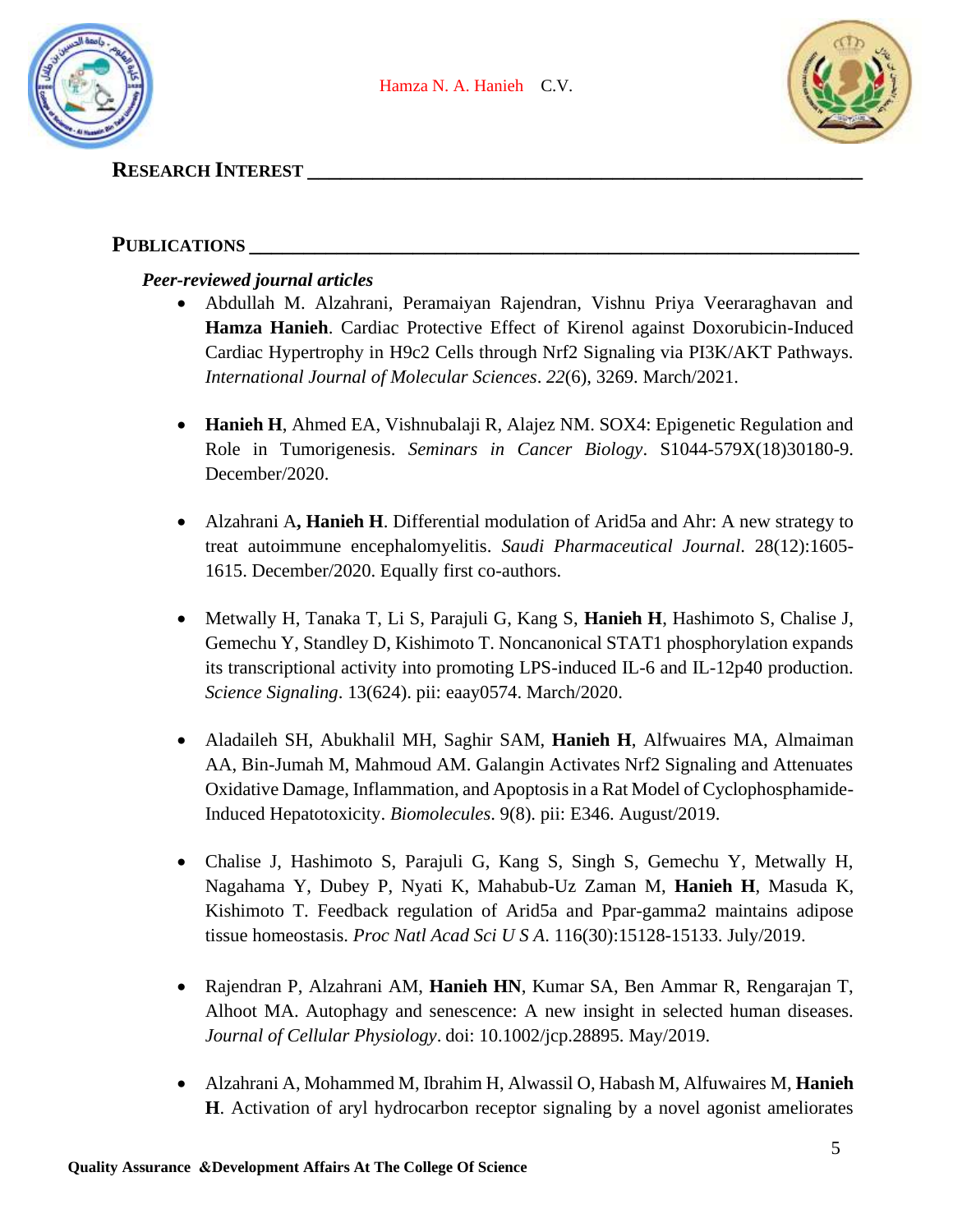



## **RESEARCH INTEREST \_\_\_\_\_\_\_\_\_\_\_\_\_\_\_\_\_\_\_\_\_\_\_\_\_\_\_\_\_\_\_\_\_\_\_\_\_\_\_\_\_\_\_\_\_\_\_\_\_\_\_**

## PUBLICATIONS \_

### *Peer-reviewed journal articles*

- Abdullah M. Alzahrani, Peramaiyan Rajendran, Vishnu Priya Veeraraghavan and **Hamza Hanieh**. Cardiac Protective Effect of Kirenol against Doxorubicin-Induced Cardiac Hypertrophy in H9c2 Cells through Nrf2 Signaling via PI3K/AKT Pathways. *International Journal of Molecular Sciences*. *22*(6), 3269. March/2021.
- **Hanieh H**, Ahmed EA, Vishnubalaji R, Alajez NM. SOX4: Epigenetic Regulation and Role in Tumorigenesis. *Seminars in Cancer Biology*. S1044-579X(18)30180-9. December/2020.
- Alzahrani A, **Hanieh H**. Differential modulation of Arid5a and Ahr: A new strategy to treat autoimmune encephalomyelitis. *Saudi Pharmaceutical Journal*. 28(12):1605- 1615. December/2020. Equally first co-authors.
- Metwally H, Tanaka T, Li S, Parajuli G, Kang S, **Hanieh H**, Hashimoto S, Chalise J, Gemechu Y, Standley D, Kishimoto T. Noncanonical STAT1 phosphorylation expands its transcriptional activity into promoting LPS-induced IL-6 and IL-12p40 production. *Science Signaling*. 13(624). pii: eaay0574. March/2020.
- Aladaileh SH, Abukhalil MH, Saghir SAM, **Hanieh H**, Alfwuaires MA, Almaiman AA, Bin-Jumah M, Mahmoud AM. Galangin Activates Nrf2 Signaling and Attenuates Oxidative Damage, Inflammation, and Apoptosis in a Rat Model of Cyclophosphamide-Induced Hepatotoxicity. *Biomolecules*. 9(8). pii: E346. August/2019.
- Chalise J, Hashimoto S, Parajuli G, Kang S, Singh S, Gemechu Y, Metwally H, Nagahama Y, Dubey P, Nyati K, Mahabub-Uz Zaman M, **Hanieh H**, Masuda K, Kishimoto T. Feedback regulation of Arid5a and Ppar-gamma2 maintains adipose tissue homeostasis. *Proc Natl Acad Sci U S A*. 116(30):15128-15133. July/2019.
- Rajendran P, Alzahrani AM, **Hanieh HN**, Kumar SA, Ben Ammar R, Rengarajan T, Alhoot MA. Autophagy and senescence: A new insight in selected human diseases. *Journal of Cellular Physiology*. doi: 10.1002/jcp.28895. May/2019.
- Alzahrani A, Mohammed M, Ibrahim H, Alwassil O, Habash M, Alfuwaires M, **Hanieh H**. Activation of aryl hydrocarbon receptor signaling by a novel agonist ameliorates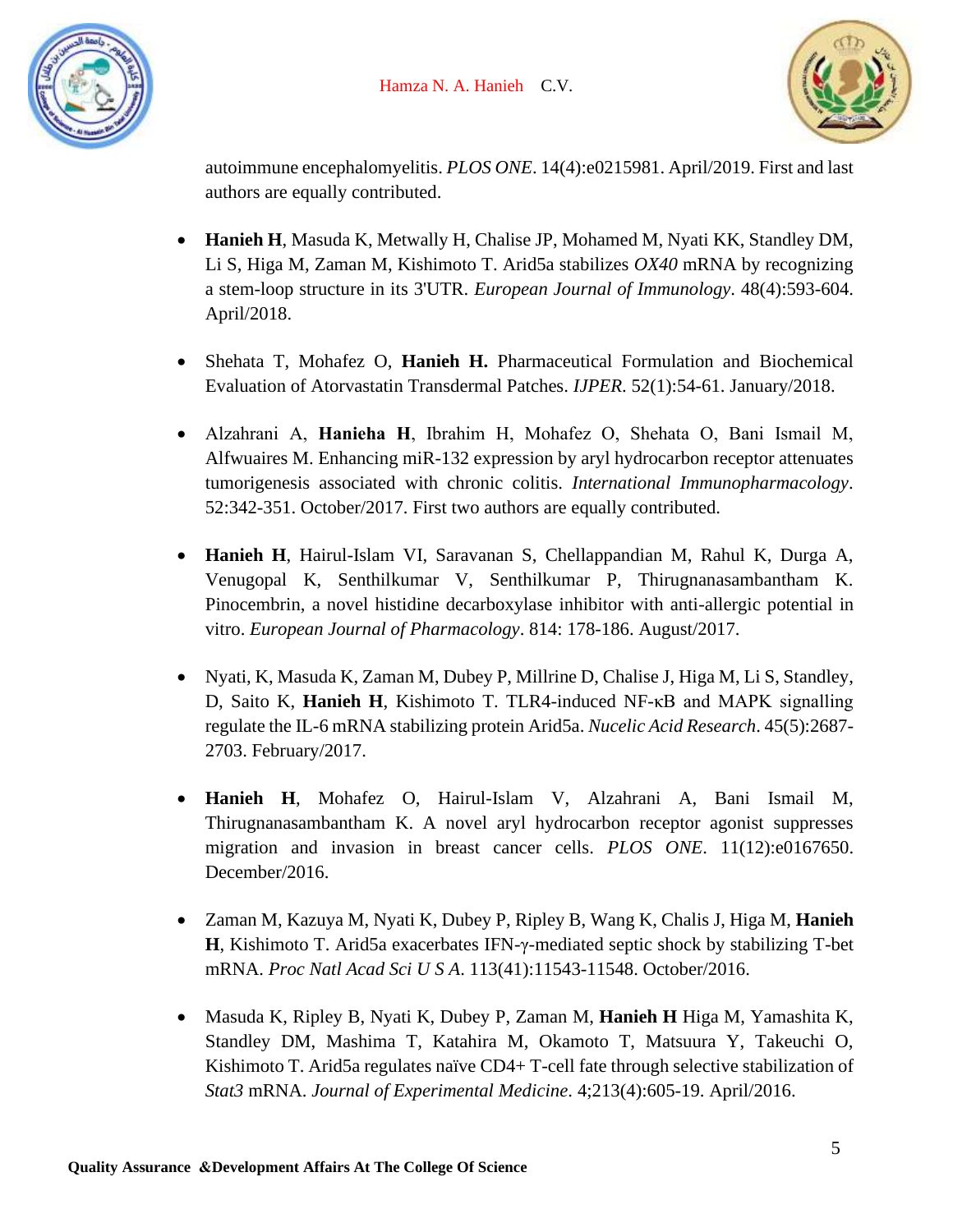



autoimmune encephalomyelitis. *PLOS ONE*. 14(4):e0215981. April/2019. First and last authors are equally contributed.

- **Hanieh H**, Masuda K, Metwally H, Chalise JP, Mohamed M, Nyati KK, Standley DM, Li S, Higa M, Zaman M, Kishimoto T. Arid5a stabilizes *OX40* mRNA by recognizing a stem-loop structure in its 3'UTR. *European Journal of Immunology*. 48(4):593-604. April/2018.
- Shehata T, Mohafez O, **Hanieh H.** Pharmaceutical Formulation and Biochemical Evaluation of Atorvastatin Transdermal Patches. *IJPER*. 52(1):54-61. January/2018.
- Alzahrani A, **Hanieha H**, Ibrahim H, Mohafez O, Shehata O, Bani Ismail M, Alfwuaires M. Enhancing miR-132 expression by aryl hydrocarbon receptor attenuates tumorigenesis associated with chronic colitis. *International Immunopharmacology*. 52:342-351. October/2017. First two authors are equally contributed.
- **Hanieh H**, Hairul-Islam VI, Saravanan S, Chellappandian M, Rahul K, Durga A, Venugopal K, Senthilkumar V, Senthilkumar P, Thirugnanasambantham K. Pinocembrin, a novel histidine decarboxylase inhibitor with anti-allergic potential in vitro. *European Journal of Pharmacology*. 814: 178-186. August/2017.
- Nyati, K, Masuda K, Zaman M, Dubey P, Millrine D, Chalise J, Higa M, Li S, Standley, D, Saito K, **Hanieh H**, Kishimoto T. TLR4-induced NF-κB and MAPK signalling regulate the IL-6 mRNA stabilizing protein Arid5a. *Nucelic Acid Research*. 45(5):2687- 2703. February/2017.
- **Hanieh H**, Mohafez O, Hairul-Islam V, Alzahrani A, Bani Ismail M, Thirugnanasambantham K. A novel aryl hydrocarbon receptor agonist suppresses migration and invasion in breast cancer cells. *PLOS ONE*. 11(12):e0167650. December/2016.
- Zaman M, Kazuya M, Nyati K, Dubey P, Ripley B, Wang K, Chalis J, Higa M, **Hanieh H**, Kishimoto T. Arid5a exacerbates IFN-γ-mediated septic shock by stabilizing T-bet mRNA. *Proc Natl Acad Sci U S A*. 113(41):11543-11548. October/2016.
- Masuda K, Ripley B, Nyati K, Dubey P, Zaman M, **Hanieh H** Higa M, Yamashita K, Standley DM, Mashima T, Katahira M, Okamoto T, Matsuura Y, Takeuchi O, Kishimoto T. Arid5a regulates naïve CD4+ T-cell fate through selective stabilization of *Stat3* mRNA. *Journal of Experimental Medicine*. 4;213(4):605-19. April/2016.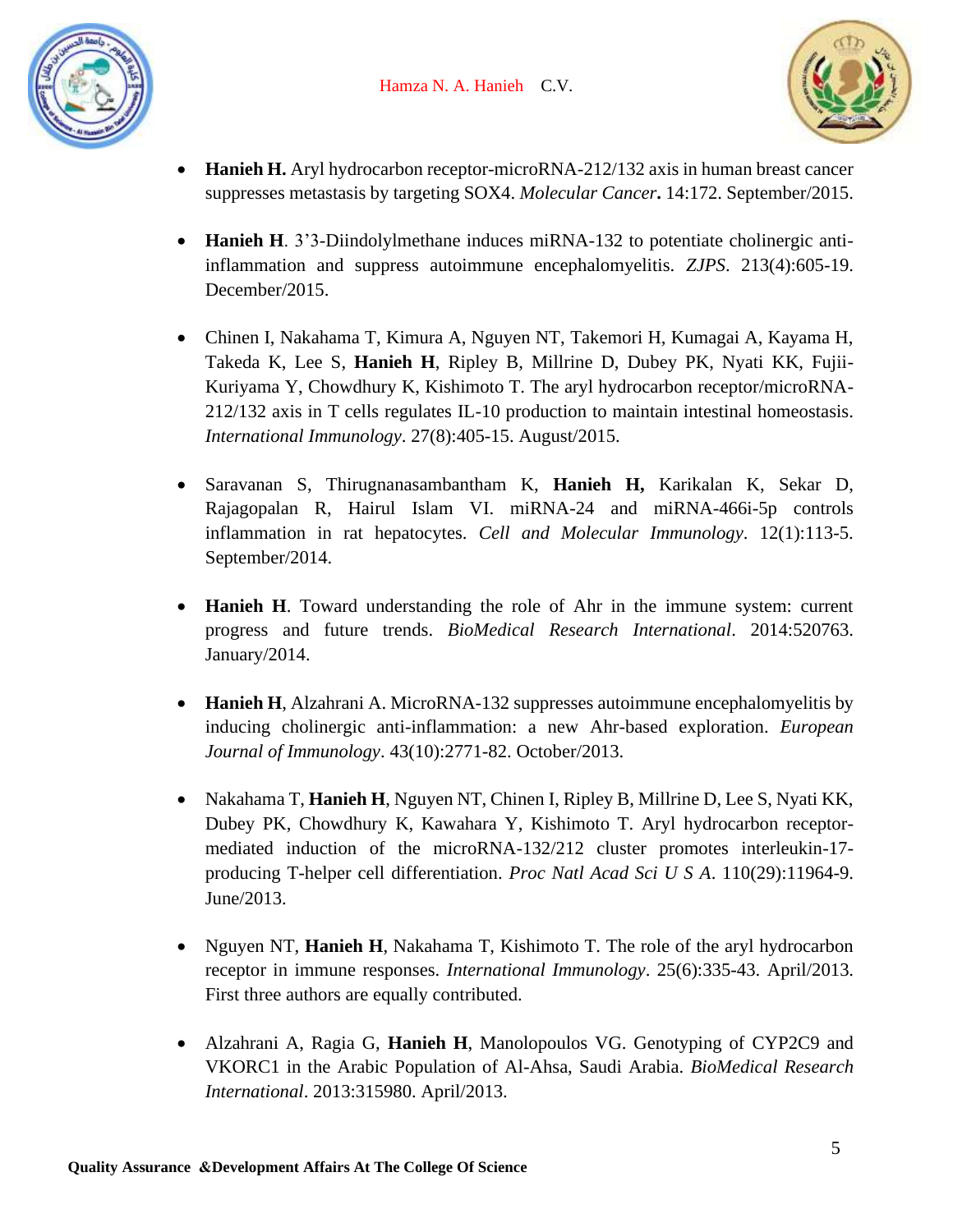



- **Hanieh H.** Aryl hydrocarbon receptor-microRNA-212/132 axis in human breast cancer suppresses metastasis by targeting SOX4. *Molecular Cancer***.** 14:172. September/2015.
- **Hanieh H**. 3'3-Diindolylmethane induces miRNA-132 to potentiate cholinergic antiinflammation and suppress autoimmune encephalomyelitis. *ZJPS*. 213(4):605-19. December/2015.
- Chinen I, Nakahama T, Kimura A, Nguyen NT, Takemori H, Kumagai A, Kayama H, Takeda K, Lee S, **Hanieh H**, Ripley B, Millrine D, Dubey PK, Nyati KK, Fujii-Kuriyama Y, Chowdhury K, Kishimoto T. The aryl hydrocarbon receptor/microRNA-212/132 axis in T cells regulates IL-10 production to maintain intestinal homeostasis. *International Immunology*. 27(8):405-15. August/2015.
- Saravanan S, Thirugnanasambantham K, **Hanieh H,** Karikalan K, Sekar D, Rajagopalan R, Hairul Islam VI. miRNA-24 and miRNA-466i-5p controls inflammation in rat hepatocytes. *Cell and Molecular Immunology*. 12(1):113-5. September/2014.
- **Hanieh H**. Toward understanding the role of Ahr in the immune system: current progress and future trends. *BioMedical Research International*. 2014:520763. January/2014.
- **Hanieh H**, Alzahrani A. MicroRNA-132 suppresses autoimmune encephalomyelitis by inducing cholinergic anti-inflammation: a new Ahr-based exploration. *European Journal of Immunology*. 43(10):2771-82. October/2013.
- Nakahama T, **Hanieh H**, Nguyen NT, Chinen I, Ripley B, Millrine D, Lee S, Nyati KK, Dubey PK, Chowdhury K, Kawahara Y, Kishimoto T. Aryl hydrocarbon receptormediated induction of the microRNA-132/212 cluster promotes interleukin-17 producing T-helper cell differentiation. *Proc Natl Acad Sci U S A*. 110(29):11964-9. June/2013.
- Nguyen NT, **Hanieh H**, Nakahama T, Kishimoto T. The role of the aryl hydrocarbon receptor in immune responses. *International Immunology*. 25(6):335-43. April/2013. First three authors are equally contributed.
- Alzahrani A, Ragia G, **Hanieh H**, Manolopoulos VG. Genotyping of CYP2C9 and VKORC1 in the Arabic Population of Al-Ahsa, Saudi Arabia. *BioMedical Research International*. 2013:315980. April/2013.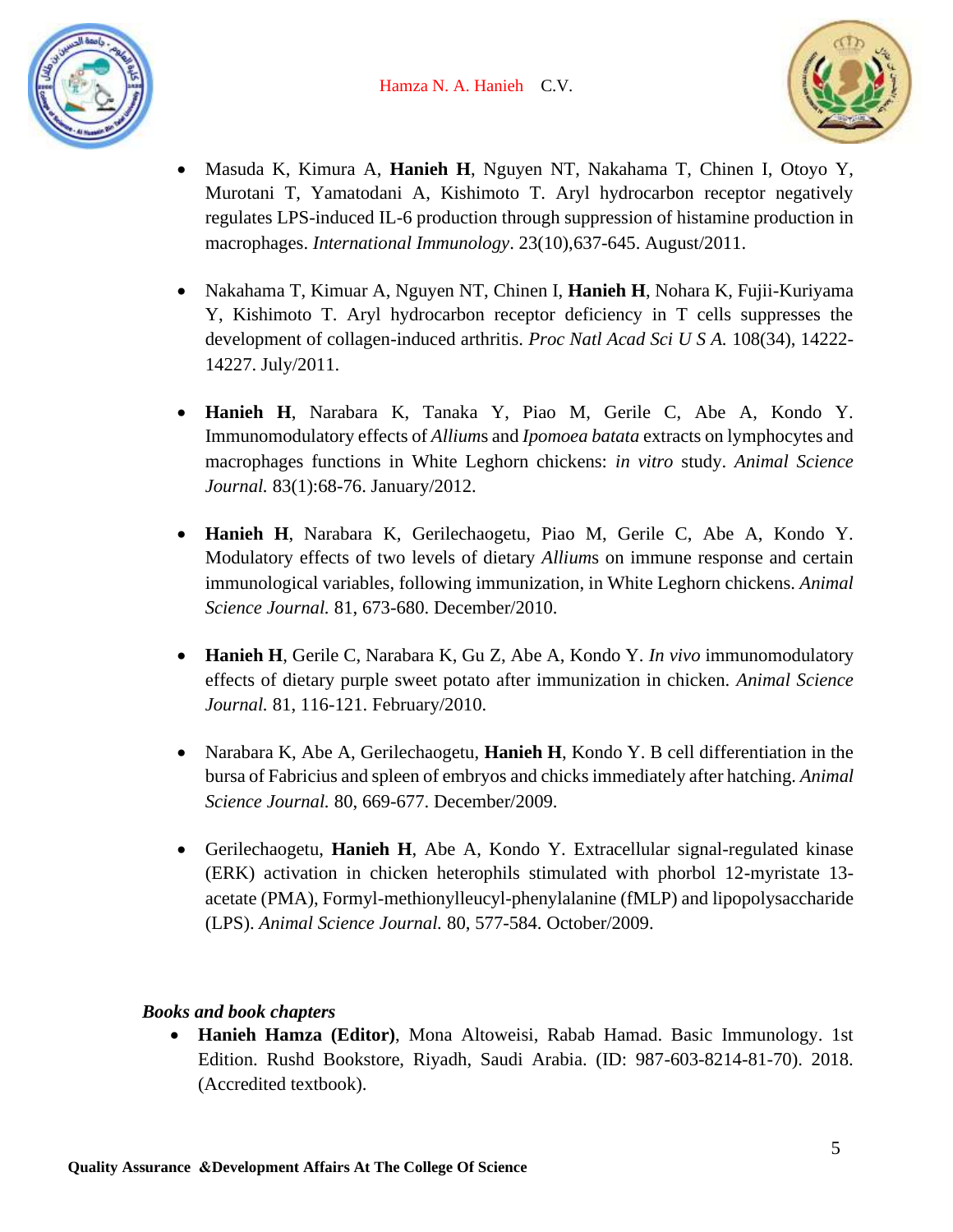



- Masuda K, Kimura A, **Hanieh H**, Nguyen NT, Nakahama T, Chinen I, Otoyo Y, Murotani T, Yamatodani A, Kishimoto T. Aryl hydrocarbon receptor negatively regulates LPS-induced IL-6 production through suppression of histamine production in macrophages. *International Immunology*. 23(10),637-645. August/2011.
- Nakahama T, Kimuar A, Nguyen NT, Chinen I, **Hanieh H**, Nohara K, Fujii-Kuriyama Y, Kishimoto T. Aryl hydrocarbon receptor deficiency in T cells suppresses the development of collagen-induced arthritis. *Proc Natl Acad Sci U S A.* 108(34), 14222- 14227. July/2011.
- **Hanieh H**, Narabara K, Tanaka Y, Piao M, Gerile C, Abe A, Kondo Y. Immunomodulatory effects of *Allium*s and *Ipomoea batata* extracts on lymphocytes and macrophages functions in White Leghorn chickens: *in vitro* study. *Animal Science Journal.* 83(1):68-76. January/2012.
- **Hanieh H**, Narabara K, Gerilechaogetu, Piao M, Gerile C, Abe A, Kondo Y. Modulatory effects of two levels of dietary *Allium*s on immune response and certain immunological variables, following immunization, in White Leghorn chickens. *Animal Science Journal.* 81, 673-680. December/2010.
- **Hanieh H**, Gerile C, Narabara K, Gu Z, Abe A, Kondo Y. *In vivo* immunomodulatory effects of dietary purple sweet potato after immunization in chicken. *Animal Science Journal.* 81, 116-121. February/2010.
- Narabara K, Abe A, Gerilechaogetu, **Hanieh H**, Kondo Y. B cell differentiation in the bursa of Fabricius and spleen of embryos and chicks immediately after hatching. *Animal Science Journal.* 80, 669-677. December/2009.
- Gerilechaogetu, **Hanieh H**, Abe A, Kondo Y. Extracellular signal-regulated kinase (ERK) activation in chicken heterophils stimulated with phorbol 12-myristate 13 acetate (PMA), Formyl-methionylleucyl-phenylalanine (fMLP) and lipopolysaccharide (LPS). *Animal Science Journal.* 80, 577-584. October/2009.

## *Books and book chapters*

• **Hanieh Hamza (Editor)**, Mona Altoweisi, Rabab Hamad. Basic Immunology. 1st Edition. Rushd Bookstore, Riyadh, Saudi Arabia. (ID: 987-603-8214-81-70). 2018. (Accredited textbook).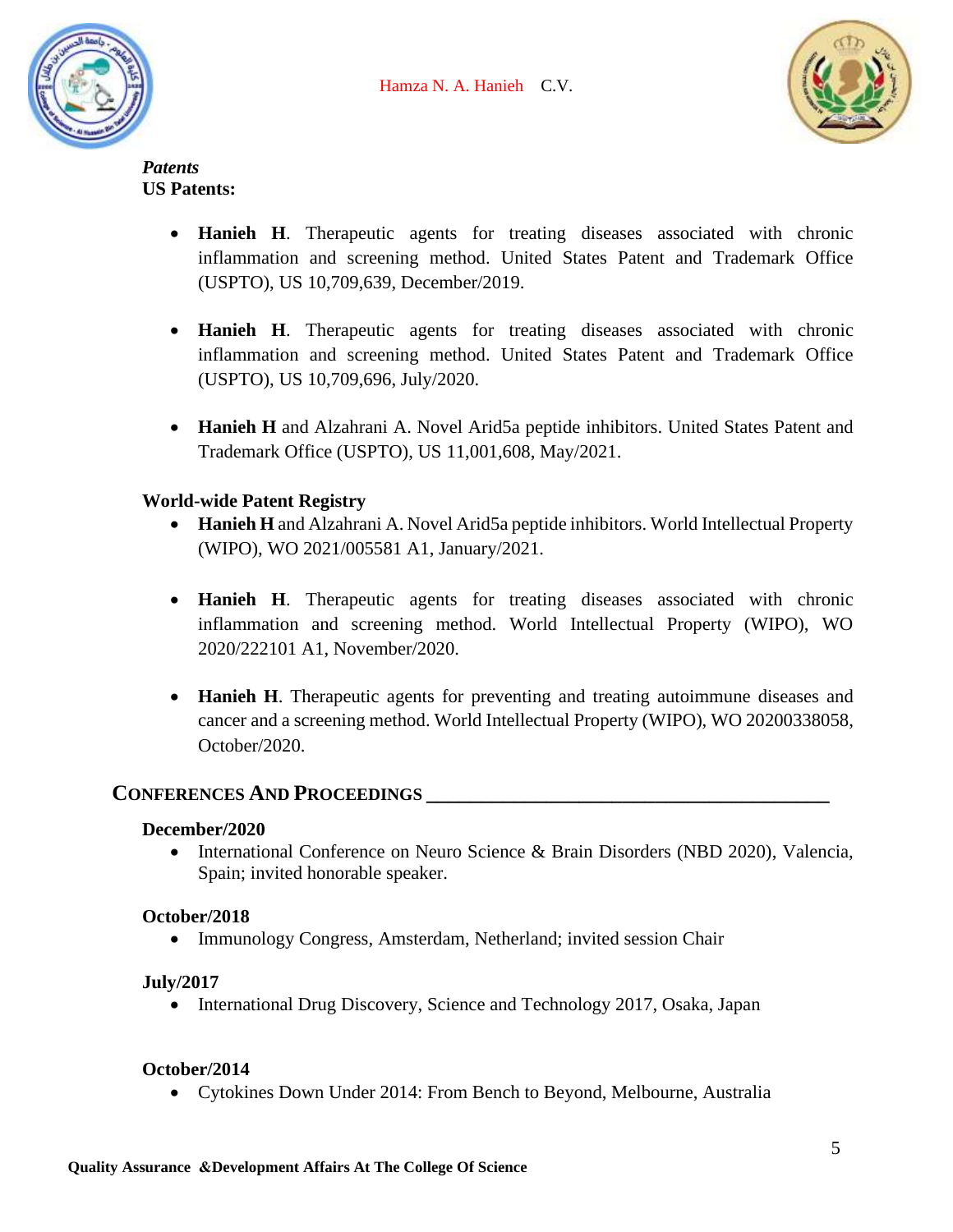



*Patents* **US Patents:**

- **Hanieh H**. Therapeutic agents for treating diseases associated with chronic inflammation and screening method. United States Patent and Trademark Office (USPTO), US 10,709,639, December/2019.
- **Hanieh H**. Therapeutic agents for treating diseases associated with chronic inflammation and screening method. United States Patent and Trademark Office (USPTO), US 10,709,696, July/2020.
- **Hanieh H** and Alzahrani A. Novel Arid5a peptide inhibitors. United States Patent and Trademark Office (USPTO), US 11,001,608, May/2021.

## **World-wide Patent Registry**

- **Hanieh H** and Alzahrani A. Novel Arid5a peptide inhibitors. World Intellectual Property (WIPO), WO 2021/005581 A1, January/2021.
- **Hanieh H**. Therapeutic agents for treating diseases associated with chronic inflammation and screening method. World Intellectual Property (WIPO), WO 2020/222101 A1, November/2020.
- **Hanieh H**. Therapeutic agents for preventing and treating autoimmune diseases and cancer and a screening method. World Intellectual Property (WIPO), WO [20200338058,](https://patentscope.wipo.int/search/en/detail.jsf?docId=US309775076&_cid=P11-KQ5S7D-55829-1) October/2020.

## **CONFERENCES AND PROCEEDINGS \_\_\_\_\_\_\_\_\_\_\_\_\_\_\_\_\_\_\_\_\_\_\_\_\_\_\_\_\_\_\_\_\_\_\_\_\_**

#### **December/2020**

• International Conference on Neuro Science & Brain Disorders (NBD 2020), Valencia, Spain; invited honorable speaker.

## **October/2018**

• Immunology Congress, Amsterdam, Netherland; invited session Chair

## **July/2017**

• International Drug Discovery, Science and Technology 2017, Osaka, Japan

#### **October/2014**

• Cytokines Down Under 2014: From Bench to Beyond, Melbourne, Australia